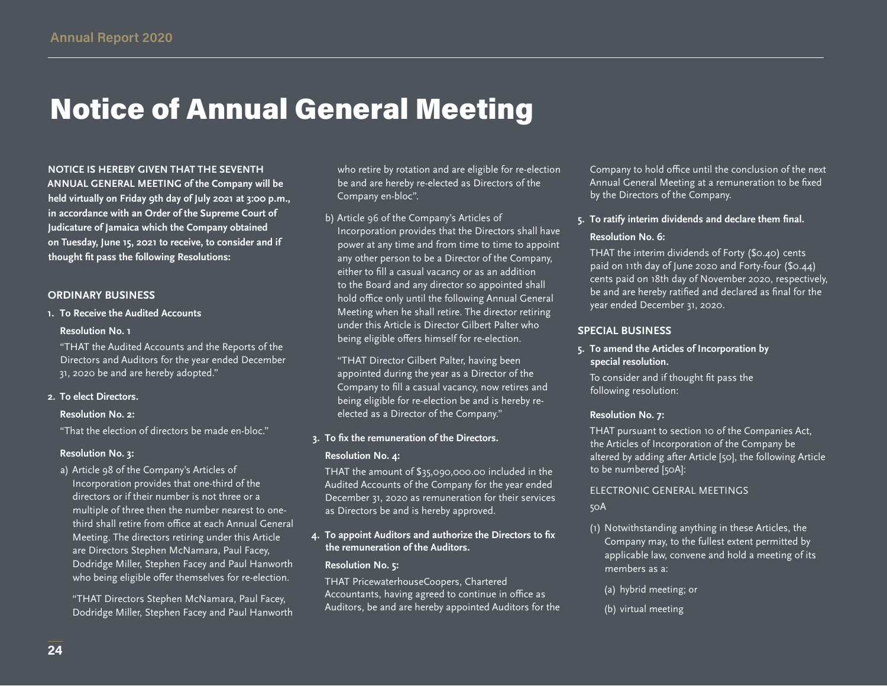# Notice of Annual General Meeting

**NOTICE IS HEREBY GIVEN THAT THE SEVENTH ANNUAL GENERAL MEETING of the Company will be held virtually on Friday 9th day of July 2021 at 3:00 p.m., in accordance with an Order of the Supreme Court of Judicature of Jamaica which the Company obtained on Tuesday, June 15, 2021 to receive, to consider and if thought fit pass the following Resolutions:**

# **ORDINARY BUSINESS**

**1. To Receive the Audited Accounts**

#### **Resolution No. 1**

"THAT the Audited Accounts and the Reports of the Directors and Auditors for the year ended December 31, 2020 be and are hereby adopted."

#### **2. To elect Directors.**

#### **Resolution No. 2:**

"That the election of directors be made en-bloc."

#### **Resolution No. 3:**

a) Article 98 of the Company's Articles of Incorporation provides that one-third of the directors or if their number is not three or a multiple of three then the number nearest to onethird shall retire from office at each Annual General Meeting. The directors retiring under this Article are Directors Stephen McNamara, Paul Facey, Dodridge Miller, Stephen Facey and Paul Hanworth who being eligible offer themselves for re-election.

"THAT Directors Stephen McNamara, Paul Facey, Dodridge Miller, Stephen Facey and Paul Hanworth who retire by rotation and are eligible for re-election be and are hereby re-elected as Directors of the Company en-bloc".

b) Article 96 of the Company's Articles of Incorporation provides that the Directors shall have power at any time and from time to time to appoint any other person to be a Director of the Company, either to fill a casual vacancy or as an addition to the Board and any director so appointed shall hold office only until the following Annual General Meeting when he shall retire. The director retiring under this Article is Director Gilbert Palter who being eligible offers himself for re-election.

"THAT Director Gilbert Palter, having been appointed during the year as a Director of the Company to fill a casual vacancy, now retires and being eligible for re-election be and is hereby reelected as a Director of the Company."

## **3. To fix the remuneration of the Directors.**

#### **Resolution No. 4:**

THAT the amount of \$35,090,000.00 included in the Audited Accounts of the Company for the year ended December 31, 2020 as remuneration for their services as Directors be and is hereby approved.

# **4. To appoint Auditors and authorize the Directors to fix the remuneration of the Auditors.**

# **Resolution No. 5:**

THAT PricewaterhouseCoopers, Chartered Accountants, having agreed to continue in office as Auditors, be and are hereby appointed Auditors for the

Company to hold office until the conclusion of the next Annual General Meeting at a remuneration to be fixed by the Directors of the Company.

# **5. To ratify interim dividends and declare them final.**

# **Resolution No. 6:**

THAT the interim dividends of Forty (\$0.40) cents paid on 11th day of June 2020 and Forty-four (\$0.44) cents paid on 18th day of November 2020, respectively, be and are hereby ratified and declared as final for the year ended December 31, 2020.

# **SPECIAL BUSINESS**

# **5. To amend the Articles of Incorporation by special resolution.**

To consider and if thought fit pass the following resolution:

#### **Resolution No. 7:**

THAT pursuant to section 10 of the Companies Act, the Articles of Incorporation of the Company be altered by adding after Article [50], the following Article to be numbered [50A]:

# ELECTRONIC GENERAL MEETINGS 50A

- (1) Notwithstanding anything in these Articles, the Company may, to the fullest extent permitted by applicable law, convene and hold a meeting of its members as a:
	- (a) hybrid meeting; or
	- (b) virtual meeting